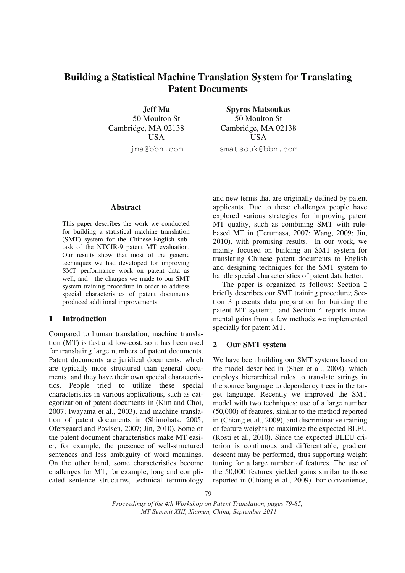# **Building a Statistical Machine Translation System for Translating Patent Documents**

**Jeff Ma**  50 Moulton St Cambridge, MA 02138 USA jma@bbn.com

**Spyros Matsoukas**  50 Moulton St Cambridge, MA 02138 USA smatsouk@bbn.com

# **Abstract**

This paper describes the work we conducted for building a statistical machine translation (SMT) system for the Chinese-English subtask of the NTCIR-9 patent MT evaluation. Our results show that most of the generic techniques we had developed for improving SMT performance work on patent data as well, and the changes we made to our SMT system training procedure in order to address special characteristics of patent documents produced additional improvements.

# **1 Introduction**

Compared to human translation, machine translation (MT) is fast and low-cost, so it has been used for translating large numbers of patent documents. Patent documents are juridical documents, which are typically more structured than general documents, and they have their own special characteristics. People tried to utilize these special characteristics in various applications, such as categorization of patent documents in (Kim and Choi, 2007; Iwayama et al., 2003), and machine translation of patent documents in (Shimohata, 2005; Ofersgaard and Povlsen, 2007; Jin, 2010). Some of the patent document characteristics make MT easier, for example, the presence of well-structured sentences and less ambiguity of word meanings. On the other hand, some characteristics become challenges for MT, for example, long and complicated sentence structures, technical terminology

and new terms that are originally defined by patent applicants. Due to these challenges people have explored various strategies for improving patent MT quality, such as combining SMT with rulebased MT in (Terumasa, 2007; Wang, 2009; Jin, 2010), with promising results. In our work, we mainly focused on building an SMT system for translating Chinese patent documents to English and designing techniques for the SMT system to handle special characteristics of patent data better.

 The paper is organized as follows: Section 2 briefly describes our SMT training procedure; Section 3 presents data preparation for building the patent MT system; and Section 4 reports incremental gains from a few methods we implemented specially for patent MT.

# **2 Our SMT system**

We have been building our SMT systems based on the model described in (Shen et al., 2008), which employs hierarchical rules to translate strings in the source language to dependency trees in the target language. Recently we improved the SMT model with two techniques: use of a large number (50,000) of features, similar to the method reported in (Chiang et al., 2009), and discriminative training of feature weights to maximize the expected BLEU (Rosti et al., 2010). Since the expected BLEU criterion is continuous and differentiable, gradient descent may be performed, thus supporting weight tuning for a large number of features. The use of the 50,000 features yielded gains similar to those reported in (Chiang et al., 2009). For convenience,

*Proceedings of the 4th Workshop on Patent Translation, pages 79-85, MT Summit XIII, Xiamen, China, September 2011*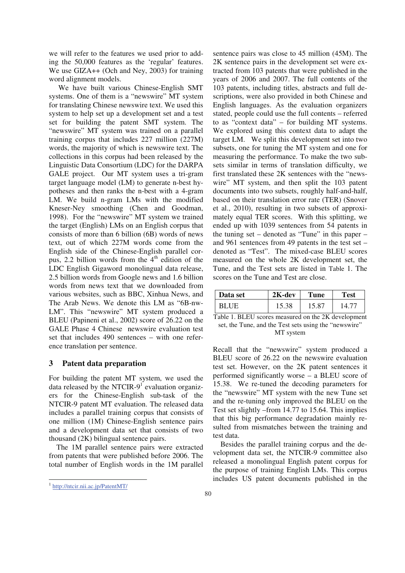we will refer to the features we used prior to adding the 50,000 features as the 'regular' features. We use GIZA++ (Och and Ney, 2003) for training word alignment models.

 We have built various Chinese-English SMT systems. One of them is a "newswire" MT system for translating Chinese newswire text. We used this system to help set up a development set and a test set for building the patent SMT system. The "newswire" MT system was trained on a parallel training corpus that includes 227 million (227M) words, the majority of which is newswire text. The collections in this corpus had been released by the Linguistic Data Consortium (LDC) for the DARPA GALE project. Our MT system uses a tri-gram target language model (LM) to generate n-best hypotheses and then ranks the n-best with a 4-gram LM. We build n-gram LMs with the modified Kneser-Ney smoothing (Chen and Goodman, 1998). For the "newswire" MT system we trained the target (English) LMs on an English corpus that consists of more than 6 billion (6B) words of news text, out of which 227M words come from the English side of the Chinese-English parallel corpus, 2.2 billion words from the  $4<sup>th</sup>$  edition of the LDC English Gigaword monolingual data release, 2.5 billion words from Google news and 1.6 billion words from news text that we downloaded from various websites, such as BBC, Xinhua News, and The Arab News. We denote this LM as "6B-nw-LM". This "newswire" MT system produced a BLEU (Papineni et al., 2002) score of 26.22 on the GALE Phase 4 Chinese newswire evaluation test set that includes 490 sentences – with one reference translation per sentence.

# **3 Patent data preparation**

For building the patent MT system, we used the data released by the NTCIR- $9<sup>1</sup>$  evaluation organizers for the Chinese-English sub-task of the NTCIR-9 patent MT evaluation. The released data includes a parallel training corpus that consists of one million (1M) Chinese-English sentence pairs and a development data set that consists of two thousand (2K) bilingual sentence pairs.

 The 1M parallel sentence pairs were extracted from patents that were published before 2006. The total number of English words in the 1M parallel

-

sentence pairs was close to 45 million (45M). The 2K sentence pairs in the development set were extracted from 103 patents that were published in the years of 2006 and 2007. The full contents of the 103 patents, including titles, abstracts and full descriptions, were also provided in both Chinese and English languages. As the evaluation organizers stated, people could use the full contents – referred to as "context data" – for building MT systems. We explored using this context data to adapt the target LM. We split this development set into two subsets, one for tuning the MT system and one for measuring the performance. To make the two subsets similar in terms of translation difficulty, we first translated these 2K sentences with the "newswire" MT system, and then split the 103 patent documents into two subsets, roughly half-and-half, based on their translation error rate (TER) (Snover et al., 2010), resulting in two subsets of approximately equal TER scores. With this splitting, we ended up with 1039 sentences from 54 patents in the tuning set – denoted as "Tune" in this paper – and 961 sentences from 49 patents in the test set – denoted as "Test". The mixed-case BLEU scores measured on the whole 2K development set, the Tune, and the Test sets are listed in Table 1. The scores on the Tune and Test are close.

| Data set    | $2K$ -dev | Tune  | <b>Fest</b> |
|-------------|-----------|-------|-------------|
| <b>BLUE</b> | 15.38     | 15.87 | 14.7        |

Table 1. BLEU scores measured on the 2K development set, the Tune, and the Test sets using the "newswire" MT system

Recall that the "newswire" system produced a BLEU score of 26.22 on the newswire evaluation test set. However, on the 2K patent sentences it performed significantly worse – a BLEU score of 15.38. We re-tuned the decoding parameters for the "newswire" MT system with the new Tune set and the re-tuning only improved the BLEU on the Test set slightly –from 14.77 to 15.64. This implies that this big performance degradation mainly resulted from mismatches between the training and test data.

 Besides the parallel training corpus and the development data set, the NTCIR-9 committee also released a monolingual English patent corpus for the purpose of training English LMs. This corpus includes US patent documents published in the

<sup>1</sup> http://ntcir.nii.ac.jp/PatentMT/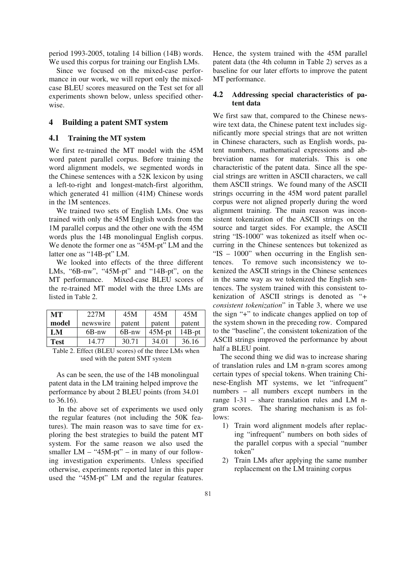period 1993-2005, totaling 14 billion (14B) words. We used this corpus for training our English LMs.

 Since we focused on the mixed-case performance in our work, we will report only the mixedcase BLEU scores measured on the Test set for all experiments shown below, unless specified otherwise.

# **4 Building a patent SMT system**

### **4.1 Training the MT system**

We first re-trained the MT model with the 45M word patent parallel corpus. Before training the word alignment models, we segmented words in the Chinese sentences with a 52K lexicon by using a left-to-right and longest-match-first algorithm, which generated 41 million (41M) Chinese words in the 1M sentences.

 We trained two sets of English LMs. One was trained with only the 45M English words from the 1M parallel corpus and the other one with the 45M words plus the 14B monolingual English corpus. We denote the former one as "45M-pt" LM and the latter one as "14B-pt" LM.

 We looked into effects of the three different LMs, "6B-nw", "45M-pt" and "14B-pt", on the MT performance. Mixed-case BLEU scores of the re-trained MT model with the three LMs are listed in Table 2.

| MТ          | 227M     | 45M    | 45M       | 45M          |
|-------------|----------|--------|-----------|--------------|
| model       | newswire | patent | patent    | patent       |
| LM          | 6B-nw    | 6B-nw  | $45M$ -pt | $14B$ - $pt$ |
| <b>Test</b> | 14.77    | 30.71  | 34.01     | 36.16        |

Table 2. Effect (BLEU scores) of the three LMs when used with the patent SMT system

 As can be seen, the use of the 14B monolingual patent data in the LM training helped improve the performance by about 2 BLEU points (from 34.01 to 36.16).

 In the above set of experiments we used only the regular features (not including the 50K features). The main reason was to save time for exploring the best strategies to build the patent MT system. For the same reason we also used the smaller  $LM - "45M-pt" - in many of our follow$ ing investigation experiments. Unless specified otherwise, experiments reported later in this paper used the "45M-pt" LM and the regular features.

Hence, the system trained with the 45M parallel patent data (the 4th column in Table 2) serves as a baseline for our later efforts to improve the patent MT performance.

# **4.2 Addressing special characteristics of patent data**

We first saw that, compared to the Chinese newswire text data, the Chinese patent text includes significantly more special strings that are not written in Chinese characters, such as English words, patent numbers, mathematical expressions and abbreviation names for materials. This is one characteristic of the patent data. Since all the special strings are written in ASCII characters, we call them ASCII strings. We found many of the ASCII strings occurring in the 45M word patent parallel corpus were not aligned properly during the word alignment training. The main reason was inconsistent tokenization of the ASCII strings on the source and target sides. For example, the ASCII string "IS-1000" was tokenized as itself when occurring in the Chinese sentences but tokenized as "IS – 1000" when occurring in the English sentences. To remove such inconsistency we tokenized the ASCII strings in the Chinese sentences in the same way as we tokenized the English sentences. The system trained with this consistent tokenization of ASCII strings is denoted as *"+ consistent tokenization*" in Table 3, where we use the sign "+" to indicate changes applied on top of the system shown in the preceding row. Compared to the "baseline", the consistent tokenization of the ASCII strings improved the performance by about half a BLEU point.

 The second thing we did was to increase sharing of translation rules and LM n-gram scores among certain types of special tokens. When training Chinese-English MT systems, we let "infrequent" numbers – all numbers except numbers in the range 1-31 – share translation rules and LM ngram scores. The sharing mechanism is as follows:

- 1) Train word alignment models after replacing "infrequent" numbers on both sides of the parallel corpus with a special "number token"
- 2) Train LMs after applying the same number replacement on the LM training corpus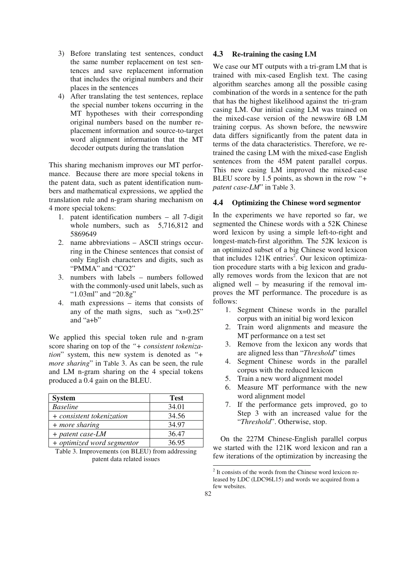- 3) Before translating test sentences, conduct the same number replacement on test sentences and save replacement information that includes the original numbers and their places in the sentences
- 4) After translating the test sentences, replace the special number tokens occurring in the MT hypotheses with their corresponding original numbers based on the number replacement information and source-to-target word alignment information that the MT decoder outputs during the translation

This sharing mechanism improves our MT performance. Because there are more special tokens in the patent data, such as patent identification numbers and mathematical expressions, we applied the translation rule and n-gram sharing mechanism on 4 more special tokens:

- 1. patent identification numbers all 7-digit whole numbers, such as  $5,716,812$  and 5869649
- 2. name abbreviations ASCII strings occurring in the Chinese sentences that consist of only English characters and digits, such as "PMMA" and "CO2"
- 3. numbers with labels numbers followed with the commonly-used unit labels, such as "1.03ml" and "20.8g"
- 4. math expressions items that consists of any of the math signs, such as "x=0.25" and "a+b"

We applied this special token rule and n-gram score sharing on top of the *"+ consistent tokenization*" system, this new system is denoted as *"+ more sharing*" in Table 3. As can be seen, the rule and LM n-gram sharing on the 4 special tokens produced a 0.4 gain on the BLEU.

| <b>System</b>              | <b>Test</b> |
|----------------------------|-------------|
| <b>Baseline</b>            | 34.01       |
| + consistent tokenization  | 34.56       |
| + more sharing             | 34.97       |
| $+$ patent case-LM         | 36.47       |
| + optimized word segmentor | 36.95       |

Table 3. Improvements (on BLEU) from addressing patent data related issues

# **4.3 Re-training the casing LM**

We case our MT outputs with a tri-gram LM that is trained with mix-cased English text. The casing algorithm searches among all the possible casing combination of the words in a sentence for the path that has the highest likelihood against the tri-gram casing LM. Our initial casing LM was trained on the mixed-case version of the newswire 6B LM training corpus. As shown before, the newswire data differs significantly from the patent data in terms of the data characteristics. Therefore, we retrained the casing LM with the mixed-case English sentences from the 45M patent parallel corpus. This new casing LM improved the mixed-case BLEU score by 1.5 points, as shown in the row *"+ patent case-LM*" in Table 3.

#### **4.4 Optimizing the Chinese word segmentor**

In the experiments we have reported so far, we segmented the Chinese words with a 52K Chinese word lexicon by using a simple left-to-right and longest-match-first algorithm. The 52K lexicon is an optimized subset of a big Chinese word lexicon that includes  $121K$  entries<sup>2</sup>. Our lexicon optimization procedure starts with a big lexicon and gradually removes words from the lexicon that are not aligned well – by measuring if the removal improves the MT performance. The procedure is as follows:

- 1. Segment Chinese words in the parallel corpus with an initial big word lexicon
- 2. Train word alignments and measure the MT performance on a test set
- 3. Remove from the lexicon any words that are aligned less than "*Threshold*" times
- 4. Segment Chinese words in the parallel corpus with the reduced lexicon
- 5. Train a new word alignment model
- 6. Measure MT performance with the new word alignment model
- 7. If the performance gets improved, go to Step 3 with an increased value for the "*Threshold*". Otherwise, stop.

 On the 227M Chinese-English parallel corpus we started with the 121K word lexicon and ran a few iterations of the optimization by increasing the

 2 It consists of the words from the Chinese word lexicon released by LDC (LDC96L15) and words we acquired from a few websites.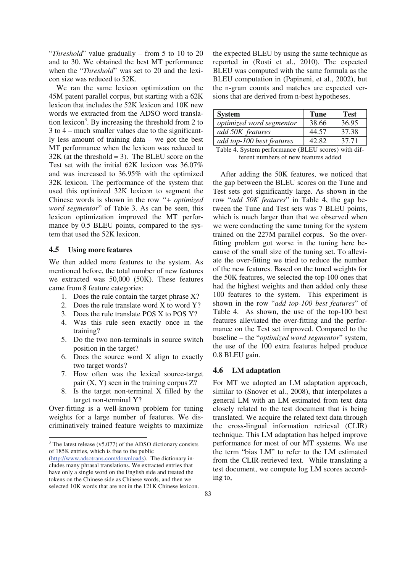"*Threshold*" value gradually – from 5 to 10 to 20 and to 30. We obtained the best MT performance when the "*Threshold*" was set to 20 and the lexicon size was reduced to 52K.

 We ran the same lexicon optimization on the 45M patent parallel corpus, but starting with a 62K lexicon that includes the 52K lexicon and 10K new words we extracted from the ADSO word translation lexicon<sup>3</sup>. By increasing the threshold from 2 to 3 to 4 – much smaller values due to the significantly less amount of training data – we got the best MT performance when the lexicon was reduced to  $32K$  (at the threshold = 3). The BLEU score on the Test set with the initial 62K lexicon was 36.07% and was increased to 36.95% with the optimized 32K lexicon. The performance of the system that used this optimized 32K lexicon to segment the Chinese words is shown in the row *"+ optimized word segmentor*" of Table 3. As can be seen, this lexicon optimization improved the MT performance by 0.5 BLEU points, compared to the system that used the 52K lexicon.

# **4.5 Using more features**

We then added more features to the system. As mentioned before, the total number of new features we extracted was 50,000 (50K). These features came from 8 feature categories:

- 1. Does the rule contain the target phrase X?
- 2. Does the rule translate word X to word Y?
- 3. Does the rule translate POS X to POS Y?
- 4. Was this rule seen exactly once in the training?
- 5. Do the two non-terminals in source switch position in the target?
- 6. Does the source word X align to exactly two target words?
- 7. How often was the lexical source-target pair  $(X, Y)$  seen in the training corpus  $Z$ ?
- 8. Is the target non-terminal X filled by the target non-terminal Y?

Over-fitting is a well-known problem for tuning weights for a large number of features. We discriminatively trained feature weights to maximize

the expected BLEU by using the same technique as reported in (Rosti et al., 2010). The expected BLEU was computed with the same formula as the BLEU computation in (Papineni, et al., 2002), but the n-gram counts and matches are expected versions that are derived from n-best hypotheses.

| <b>System</b>             | <b>Tune</b> | <b>Test</b> |
|---------------------------|-------------|-------------|
| optimized word segmentor  | 38.66       | 36.95       |
| add 50K features          | 44.57       | 37.38       |
| add top-100 best features | 42.82       | 37.71       |

| Table 4. System performance (BLEU scores) with dif- |  |
|-----------------------------------------------------|--|
| ferent numbers of new features added                |  |

 After adding the 50K features, we noticed that the gap between the BLEU scores on the Tune and Test sets got significantly large. As shown in the row "*add 50K features*" in Table 4, the gap between the Tune and Test sets was 7 BLEU points, which is much larger than that we observed when we were conducting the same tuning for the system trained on the 227M parallel corpus. So the overfitting problem got worse in the tuning here because of the small size of the tuning set. To alleviate the over-fitting we tried to reduce the number of the new features. Based on the tuned weights for the 50K features, we selected the top-100 ones that had the highest weights and then added only these 100 features to the system. This experiment is shown in the row "*add top-100 best features*" of Table 4. As shown, the use of the top-100 best features alleviated the over-fitting and the performance on the Test set improved. Compared to the baseline – the "*optimized word segmentor*" system, the use of the 100 extra features helped produce 0.8 BLEU gain.

### **4.6 LM adaptation**

For MT we adopted an LM adaptation approach, similar to (Snover et al., 2008), that interpolates a general LM with an LM estimated from text data closely related to the test document that is being translated. We acquire the related text data through the cross-lingual information retrieval (CLIR) technique. This LM adaptation has helped improve performance for most of our MT systems. We use the term "bias LM" to refer to the LM estimated from the CLIR-retrieved text. While translating a test document, we compute log LM scores according to,

The latest release (v5.077) of the ADSO dictionary consists of 185K entries, which is free to the public (http://www.adsotrans.com/downloads). The dictionary includes many phrasal translations. We extracted entries that have only a single word on the English side and treated the

tokens on the Chinese side as Chinese words, and then we selected 10K words that are not in the 121K Chinese lexicon.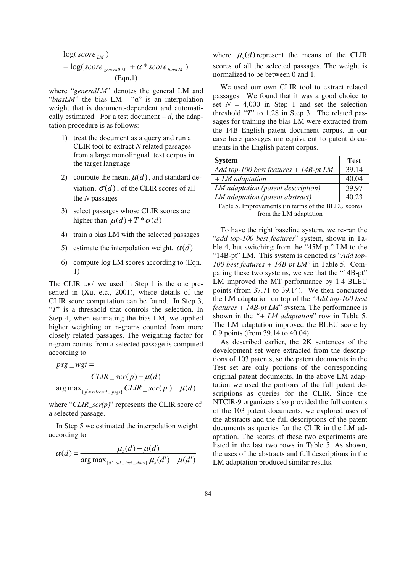$$
log(score_{LM})
$$
  
= log(score\_{generalLM} + \alpha \* score\_{biasLM})  
(Eqn.1)

where "*generalLM*" denotes the general LM and " $biasLM$ " the bias LM. " $\alpha$ " is an interpolation weight that is document-dependent and automatically estimated. For a test document  $-d$ , the adaptation procedure is as follows:

- 1) treat the document as a query and run a CLIR tool to extract *N* related passages from a large monolingual text corpus in the target language
- 2) compute the mean,  $\mu(d)$ , and standard deviation,  $\sigma(d)$ , of the CLIR scores of all the *N* passages
- 3) select passages whose CLIR scores are higher than  $\mu(d) + T^* \sigma(d)$
- 4) train a bias LM with the selected passages
- 5) estimate the interpolation weight,  $\alpha(d)$
- 6) compute log LM scores according to (Eqn. 1)

The CLIR tool we used in Step 1 is the one presented in (Xu, etc., 2001), where details of the CLIR score computation can be found. In Step 3, "*T*" is a threshold that controls the selection. In Step 4, when estimating the bias LM, we applied higher weighting on n-grams counted from more closely related passages. The weighting factor for n-gram counts from a selected passage is computed according to

$$
psg_{-}wgt = \frac{CLIR\_scr(p) - \mu(d)}{\arg \max_{\{p \in selected\_psgs\}} CLIR\_scr(p) - \mu(d)}
$$

where "*CLIR\_scr(p)*" represents the CLIR score of a selected passage.

 In Step 5 we estimated the interpolation weight according to

$$
\alpha(d) = \frac{\mu_s(d) - \mu(d)}{\arg \max_{\{d' \in all\_test\_docs\}} \mu_s(d') - \mu(d')}
$$

where  $\mu_s(d)$  represent the means of the CLIR scores of all the selected passages. The weight is normalized to be between 0 and 1.

 We used our own CLIR tool to extract related passages. We found that it was a good choice to set  $N = 4,000$  in Step 1 and set the selection threshold "*T*" to 1.28 in Step 3. The related passages for training the bias LM were extracted from the 14B English patent document corpus. In our case here passages are equivalent to patent documents in the English patent corpus.

| <b>System</b>                            | <b>Test</b> |
|------------------------------------------|-------------|
| Add top-100 best features $+ 14B$ -pt LM | 39.14       |
| $+ LM$ adaptation                        | 40.04       |
| LM adaptation (patent description)       | 39.97       |
| LM adaptation (patent abstract)          | 40.23       |

Table 5. Improvements (in terms of the BLEU score) from the LM adaptation

 To have the right baseline system, we re-ran the "*add top-100 best features*" system, shown in Table 4, but switching from the "45M-pt" LM to the "14B-pt" LM. This system is denoted as "*Add top-100 best features + 14B-pt LM*" in Table 5. Comparing these two systems, we see that the "14B-pt" LM improved the MT performance by 1.4 BLEU points (from 37.71 to 39.14). We then conducted the LM adaptation on top of the "*Add top-100 best features + 14B-pt LM*" system. The performance is shown in the *"+ LM adaptation*" row in Table 5. The LM adaptation improved the BLEU score by 0.9 points (from 39.14 to 40.04).

 As described earlier, the 2K sentences of the development set were extracted from the descriptions of 103 patents, so the patent documents in the Test set are only portions of the corresponding original patent documents. In the above LM adaptation we used the portions of the full patent descriptions as queries for the CLIR. Since the NTCIR-9 organizers also provided the full contents of the 103 patent documents, we explored uses of the abstracts and the full descriptions of the patent documents as queries for the CLIR in the LM adaptation. The scores of these two experiments are listed in the last two rows in Table 5. As shown, the uses of the abstracts and full descriptions in the LM adaptation produced similar results.